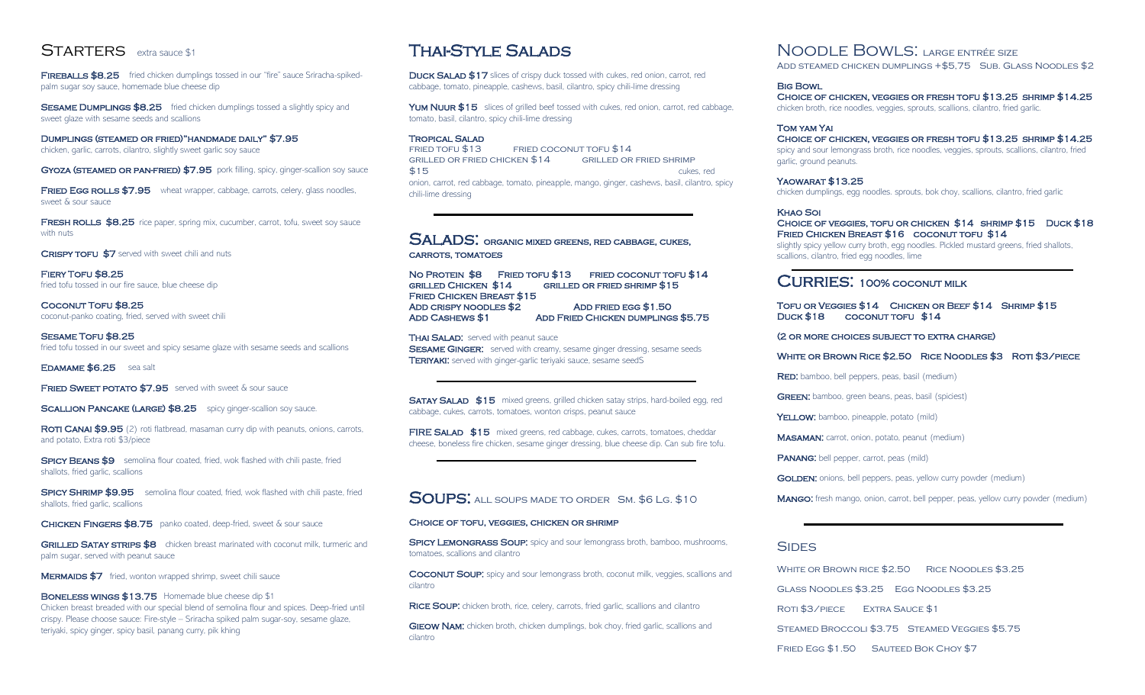## STARTERS extra sauce \$1

FIREBALLS \$8.25 fried chicken dumplings tossed in our "fire" sauce Sriracha-spikedpalm sugar soy sauce, homemade blue cheese dip

SESAME DUMPLINGS \$8.25 fried chicken dumplings tossed a slightly spicy and sweet glaze with sesame seeds and scallions

Dumplings (steamed or fried)"handmade daily" \$7.95 chicken, garlic, carrots, cilantro, slightly sweet garlic soy sauce

GYOZA (STEAMED OR PAN-FRIED) \$7.95 pork filling, spicy, ginger-scallion soy sauce

FRIED EGG ROLLS \$7.95 wheat wrapper, cabbage, carrots, celery, glass noodles, sweet & sour sauce

FRESH ROLLS \$8.25 rice paper, spring mix, cucumber, carrot, tofu, sweet soy sauce with nuts

CRISPY TOFU \$7 served with sweet chili and nuts

FIERY TOFU \$8.25 fried tofu tossed in our fire sauce, blue cheese dip

Coconut Tofu \$8.25 coconut-panko coating, fried, served with sweet chili

SESAME TOFU \$8.25 fried tofu tossed in our sweet and spicy sesame glaze with sesame seeds and scallions

EDAMAME \$6.25 sea salt

FRIED SWEET POTATO \$7.95 served with sweet & sour sauce

SCALLION PANCAKE (LARGE) \$8.25 spicy ginger-scallion soy sauce.

ROTI CANAI \$9.95 (2) roti flatbread, masaman curry dip with peanuts, onions, carrots, and potato, Extra roti \$3/piece

SPICY BEANS \$9 semolina flour coated, fried, wok flashed with chili paste, fried shallots, fried garlic, scallions

SPICY SHRIMP \$9.95 semolina flour coated, fried, wok flashed with chili paste, fried shallots, fried garlic, scallions

CHICKEN FINGERS \$8.75 panko coated, deep-fried, sweet & sour sauce

GRILLED SATAY STRIPS \$8 chicken breast marinated with coconut milk, turmeric and palm sugar, served with peanut sauce

MERMAIDS \$7 fried, wonton wrapped shrimp, sweet chili sauce

BONELESS WINGS \$13.75 Homemade blue cheese dip \$1 Chicken breast breaded with our special blend of semolina flour and spices. Deep-fried until crispy. Please choose sauce: Fire-style – Sriracha spiked palm sugar-soy, sesame glaze, teriyaki, spicy ginger, spicy basil, panang curry, pik khing

# Thai-Style Salads

DUCK SALAD \$17 slices of crispy duck tossed with cukes, red onion, carrot, red cabbage, tomato, pineapple, cashews, basil, cilantro, spicy chili-lime dressing

YUM NUUR \$15 slices of grilled beef tossed with cukes, red onion, carrot, red cabbage, tomato, basil, cilantro, spicy chili-lime dressing

#### Tropical Salad

fried tofu \$13 fried coconut tofu \$14 grilled or fried chicken \$14 grilled or fried shrimp \$15 cukes, red onion, carrot, red cabbage, tomato, pineapple, mango, ginger, cashews, basil, cilantro, spicy chili-lime dressing

## SALADS: ORGANIC MIXED GREENS, RED CABBAGE, CUKES, carrots, tomatoes

NO PROTEIN \$8 FRIED TOFU \$13 FRIED COCONUT TOFU \$14 grilled Chicken \$14 grilled or fried shrimp \$15 Fried Chicken Breast \$15 ADD CRISPY NOODLES \$2 ADD FRIED EGG \$1.50 ADD CASHEWS \$1 ADD FRIED CHICKEN DUMPLINGS \$5.75

THAI SALAD: served with peanut sauce **SESAME GINGER:** served with creamy, sesame ginger dressing, sesame seeds TERIYAKI: served with ginger-garlic teriyaki sauce, sesame seedS

SATAY SALAD \$15 mixed greens, grilled chicken satay strips, hard-boiled egg, red cabbage, cukes, carrots, tomatoes, wonton crisps, peanut sauce

FIRE SALAD \$15 mixed greens, red cabbage, cukes, carrots, tomatoes, cheddar cheese, boneless fire chicken, sesame ginger dressing, blue cheese dip. Can sub fire tofu.

## Soups: all soups made to order Sm. \$6 Lg. \$10

#### Choice of tofu, veggies, chicken or shrimp

**SPICY LEMONGRASS SOUP:** spicy and sour lemongrass broth, bamboo, mushrooms, tomatoes, scallions and cilantro

Coconut Soup: spicy and sour lemongrass broth, coconut milk, veggies, scallions and cilantro

RICE SOUP: chicken broth, rice, celery, carrots, fried garlic, scallions and cilantro

GIEOW NAM: chicken broth, chicken dumplings, bok choy, fried garlic, scallions and cilantro

# Noodle Bowls: large entrée size

Add steamed chicken dumplings +\$5,75 Sub. Glass Noodles \$2

#### Big Bowl

Choice of chicken, veggies or fresh tofu \$13.25 shrimp \$14.25 chicken broth, rice noodles, veggies, sprouts, scallions, cilantro, fried garlic.

#### Tom yam Yai

#### Choice of chicken, veggies or fresh tofu \$13.25 shrimp \$14.25

spicy and sour lemongrass broth, rice noodles, veggies, sprouts, scallions, cilantro, fried garlic, ground peanuts.

#### YAOWARAT \$13.25

chicken dumplings, egg noodles. sprouts, bok choy, scallions, cilantro, fried garlic

#### Khao Soi

Choice of veggies, tofu or chicken \$14 shrimp \$15 Duck \$18 Fried Chicken Breast \$16 coconut tofu \$14

slightly spicy yellow curry broth, egg noodles. Pickled mustard greens, fried shallots, scallions, cilantro, fried egg noodles, lime

### $C$ URRIES: 100% coconut milk

#### Tofu or Veggies \$14 Chicken or Beef \$14 Shrimp \$15 DUCK \$18 COCONUT TOFU \$14

(2 or more choices subject to extra charge)

#### WHITE OR BROWN RICE \$2.50 RICE NOODLES \$3 ROTI \$3/PIECE

RED: bamboo, bell peppers, peas, basil (medium)

**GREEN:** bamboo, green beans, peas, basil (spiciest)

YELLOW: bamboo, pineapple, potato (mild)

**MASAMAN:** carrot, onion, potato, peanut (medium)

PANANG: bell pepper, carrot, peas (mild)

GOLDEN: onions, bell peppers, peas, yellow curry powder (medium)

Mango: fresh mango, onion, carrot, bell pepper, peas, yellow curry powder (medium)

#### **SIDES**

WHITE OR BROWN RICE \$2.50 RICE NOODLES \$3.25

Glass Noodles \$3.25 Egg Noodles \$3.25

Roti \$3/piece Extra Sauce \$1

Steamed Broccoli \$3.75 Steamed Veggies \$5.75

FRIED EGG \$1.50 SAUTEED BOK CHOY \$7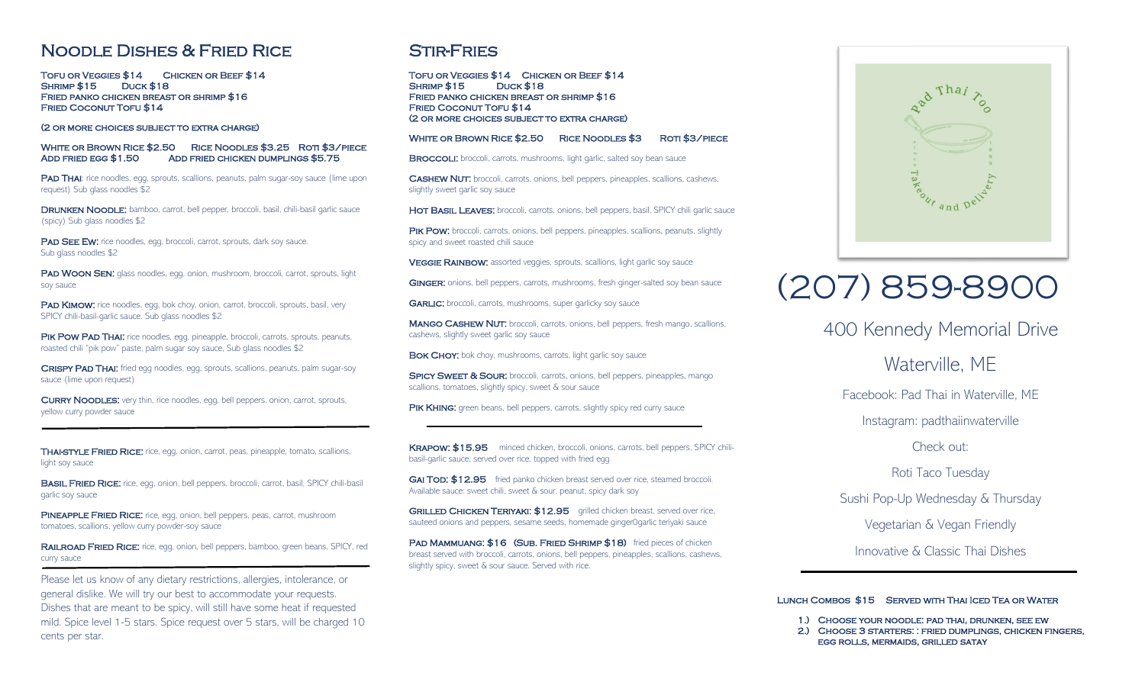# Noodle Dishes & Fried Rice

TOFU OR VEGGIES \$14 CHICKEN OR BEEF \$14 SHRIMP \$15 DUCK \$18 Fried panko chicken breast or shrimp \$16 FRIED COCONUT TOFU \$14

#### (2 or more choices subject to extra charge)

#### WHITE OR BROWN RICE \$2.50 RICE NOODLES \$3.25 ROTI \$3/PIECE Add fried egg \$1.50 Add fried chicken dumplings \$5.75

PAD THAI: rice noodles, egg, sprouts, scallions, peanuts, palm sugar-soy sauce (lime upon request) Sub glass noodles \$2

DRUNKEN NOODLE: bamboo, carrot, bell pepper, broccoli, basil, chili-basil garlic sauce (spicy) Sub glass noodles \$2

PAD SEE EW: rice noodles, egg, broccoli, carrot, sprouts, dark soy sauce. Sub glass noodles \$2

PAD WOON SEN: glass noodles, egg, onion, mushroom, broccoli, carrot, sprouts, light soy sauce

PAD KIMOW: rice noodles, egg, bok choy, onion, carrot, broccoli, sprouts, basil, very SPICY chili-basil-garlic sauce. Sub glass noodles \$2

PIK POW PAD THAI: rice noodles, egg, pineapple, broccoli, carrots, sprouts, peanuts, roasted chili "pik pow" paste, palm sugar soy sauce, Sub glass noodles \$2

**CRISPY PAD THAI:** fried egg noodles, egg, sprouts, scallions, peanuts, palm sugar-soy sauce (lime upon request)

**CURRY NOODLES:** very thin, rice noodles, egg, bell peppers, onion, carrot, sprouts, yellow curry powder sauce

j

THAI-STYLE FRIED RICE: rice, egg, onion, carrot, peas, pineapple, tomato, scallions, light soy sauce

BASIL FRIED RICE: rice, egg, onion, bell peppers, broccoli, carrot, basil, SPICY chili-basil garlic soy sauce

PINEAPPLE FRIED RICE: rice, egg, onion, bell peppers, peas, carrot, mushroom tomatoes, scallions, yellow curry powder-soy sauce

RAILROAD FRIED RICE: rice, egg, onion, bell peppers, bamboo, green beans, SPICY, red curry sauce

Please let us know of any dietary restrictions, allergies, intolerance, or general dislike. We will try our best to accommodate your requests. Dishes that are meant to be spicy, will still have some heat if requested mild. Spice level 1-5 stars. Spice request over 5 stars, will be charged 10 cents per star.

## STIR-FRIES

Tofu or Veggies \$14 Chicken or Beef \$14 SHRIMP  $$15$  DUCK  $$18$ Fried panko chicken breast or shrimp \$16 FRIED COCONUT TOFU \$14 (2 or more choices subject to extra charge)

#### WHITE OR BROWN RICE \$2.50 RICE NOODLES \$3 ROTI \$3/PIECE

BROCCOLI: broccoli, carrots, mushrooms, light garlic, salted soy bean sauce

CASHEW NUT: broccoli, carrots, onions, bell peppers, pineapples, scallions, cashews, slightly sweet garlic soy sauce

HOT BASIL LEAVES: broccoli, carrots, onions, bell peppers, basil, SPICY chili garlic sauce

PIK POW: broccoli, carrots, onions, bell peppers, pineapples, scallions, peanuts, slightly spicy and sweet roasted chili sauce

VEGGIE RAINBOW: assorted veggies, sprouts, scallions, light garlic soy sauce

GINGER: onions, bell peppers, carrots, mushrooms, fresh ginger-salted soy bean sauce

GARLIC: broccoli, carrots, mushrooms, super garlicky soy sauce

MANGO CASHEW NUT: broccoli, carrots, onions, bell peppers, fresh mango, scallions, cashews, slightly sweet garlic soy sauce

BOK CHOY: bok choy, mushrooms, carrots, light garlic soy sauce

SPICY SWEET & SOUR: broccoli, carrots, onions, bell peppers, pineapples, mango scallions, tomatoes, slightly spicy, sweet & sour sauce

PIK KHING: green beans, bell peppers, carrots, slightly spicy red curry sauce

Krapow: \$15.95 minced chicken, broccoli, onions, carrots, bell peppers, SPICY chilibasil-garlic sauce, served over rice, topped with fried egg

GAI TOD: \$12.95 fried panko chicken breast served over rice, steamed broccoli. Available sauce: sweet chili, sweet & sour, peanut, spicy dark soy

GRILLED CHICKEN TERIYAKI: \$12.95 grilled chicken breast, served over rice, sauteed onions and peppers, sesame seeds, homemade ginger0garlic teriyaki sauce

PAD MAMMUANG: \$16 (SUB. FRIED SHRIMP \$18) fried pieces of chicken breast served with broccoli, carrots, onions, bell peppers, pineapples, scallions, cashews, slightly spicy, sweet & sour sauce. Served with rice.



# (207) 859-8900

# 400 Kennedy Memorial Drive

Waterville, ME

Facebook: Pad Thai in Waterville, ME

Instagram: padthaiinwaterville

Check out:

Roti Taco Tuesday

Sushi Pop-Up Wednesday & Thursday

Vegetarian & Vegan Friendly

Innovative & Classic Thai Dishes

#### Lunch Combos \$15 Served with Thai Iced Tea or Water

- 1.) Choose your noodle: pad thai, drunken, see ew
- 2.) Choose 3 starters: : fried dumplings, chicken fingers, egg rolls, mermaids, grilled satay